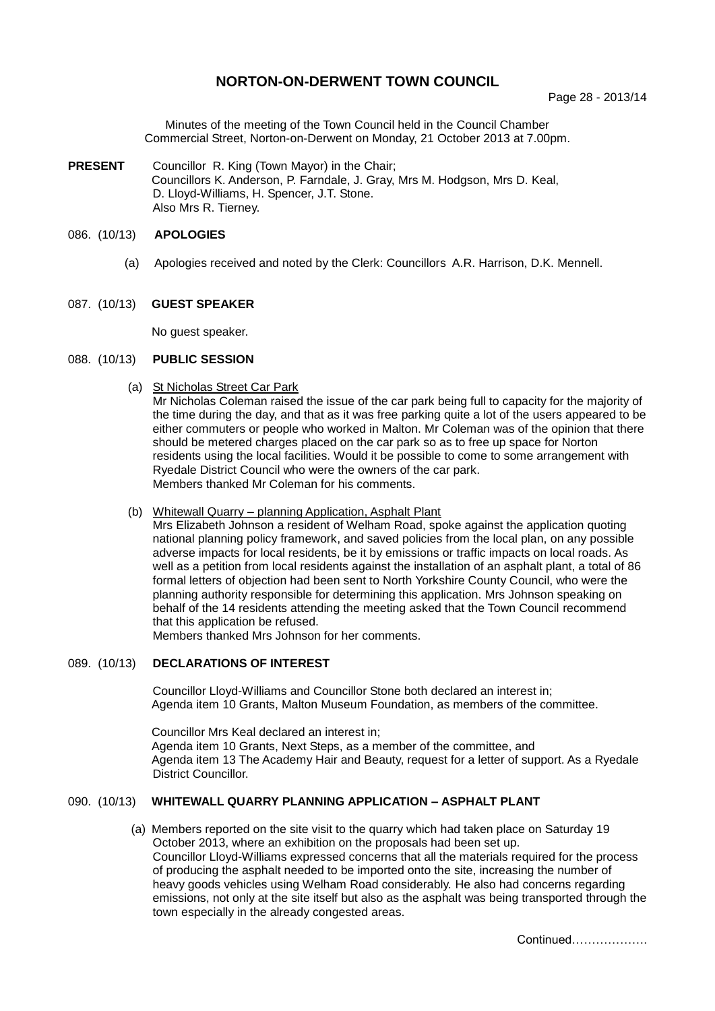# **NORTON-ON-DERWENT TOWN COUNCIL**

Minutes of the meeting of the Town Council held in the Council Chamber Commercial Street, Norton-on-Derwent on Monday, 21 October 2013 at 7.00pm.

**PRESENT** Councillor R. King (Town Mayor) in the Chair; Councillors K. Anderson, P. Farndale, J. Gray, Mrs M. Hodgson, Mrs D. Keal, D. Lloyd-Williams, H. Spencer, J.T. Stone. Also Mrs R. Tierney.

## 086. (10/13) **APOLOGIES**

(a) Apologies received and noted by the Clerk: Councillors A.R. Harrison, D.K. Mennell.

### 087. (10/13) **GUEST SPEAKER**

No guest speaker.

## 088. (10/13) **PUBLIC SESSION**

(a) St Nicholas Street Car Park

Mr Nicholas Coleman raised the issue of the car park being full to capacity for the majority of the time during the day, and that as it was free parking quite a lot of the users appeared to be either commuters or people who worked in Malton. Mr Coleman was of the opinion that there should be metered charges placed on the car park so as to free up space for Norton residents using the local facilities. Would it be possible to come to some arrangement with Ryedale District Council who were the owners of the car park. Members thanked Mr Coleman for his comments.

## (b) Whitewall Quarry – planning Application, Asphalt Plant

Mrs Elizabeth Johnson a resident of Welham Road, spoke against the application quoting national planning policy framework, and saved policies from the local plan, on any possible adverse impacts for local residents, be it by emissions or traffic impacts on local roads. As well as a petition from local residents against the installation of an asphalt plant, a total of 86 formal letters of objection had been sent to North Yorkshire County Council, who were the planning authority responsible for determining this application. Mrs Johnson speaking on behalf of the 14 residents attending the meeting asked that the Town Council recommend that this application be refused.

Members thanked Mrs Johnson for her comments.

# 089. (10/13) **DECLARATIONS OF INTEREST**

 Councillor Lloyd-Williams and Councillor Stone both declared an interest in; Agenda item 10 Grants, Malton Museum Foundation, as members of the committee.

Councillor Mrs Keal declared an interest in; Agenda item 10 Grants, Next Steps, as a member of the committee, and Agenda item 13 The Academy Hair and Beauty, request for a letter of support. As a Ryedale District Councillor.

## 090. (10/13) **WHITEWALL QUARRY PLANNING APPLICATION – ASPHALT PLANT**

(a) Members reported on the site visit to the quarry which had taken place on Saturday 19 October 2013, where an exhibition on the proposals had been set up. Councillor Lloyd-Williams expressed concerns that all the materials required for the process of producing the asphalt needed to be imported onto the site, increasing the number of heavy goods vehicles using Welham Road considerably. He also had concerns regarding emissions, not only at the site itself but also as the asphalt was being transported through the town especially in the already congested areas.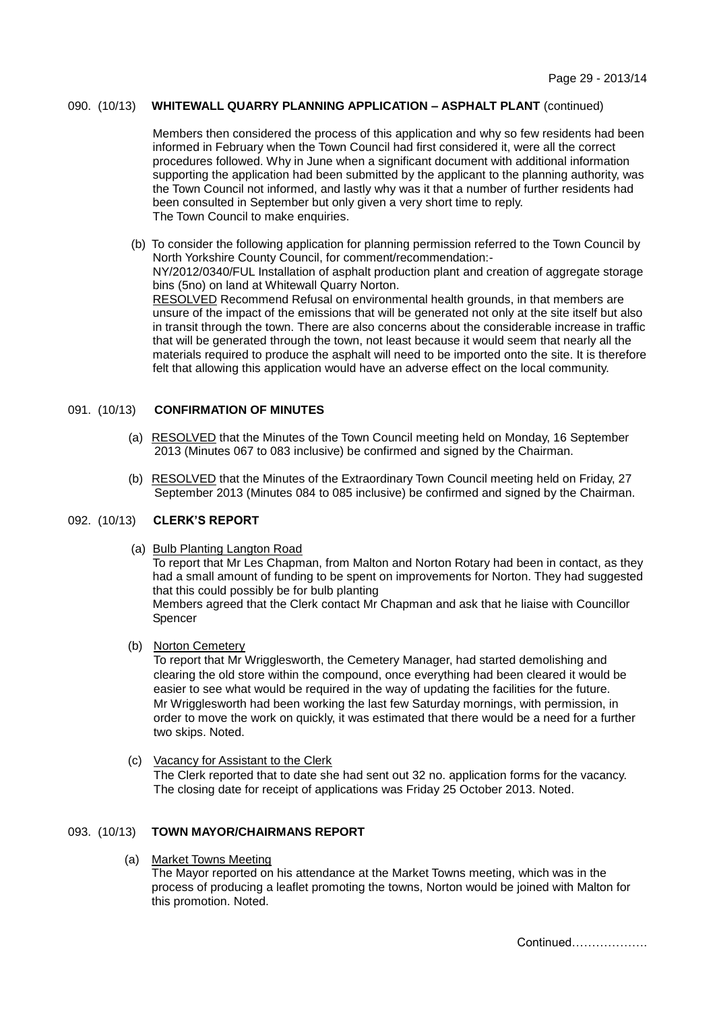## 090. (10/13) **WHITEWALL QUARRY PLANNING APPLICATION – ASPHALT PLANT** (continued)

Members then considered the process of this application and why so few residents had been informed in February when the Town Council had first considered it, were all the correct procedures followed. Why in June when a significant document with additional information supporting the application had been submitted by the applicant to the planning authority, was the Town Council not informed, and lastly why was it that a number of further residents had been consulted in September but only given a very short time to reply. The Town Council to make enquiries.

(b) To consider the following application for planning permission referred to the Town Council by North Yorkshire County Council, for comment/recommendation:- NY/2012/0340/FUL Installation of asphalt production plant and creation of aggregate storage bins (5no) on land at Whitewall Quarry Norton. RESOLVED Recommend Refusal on environmental health grounds, in that members are unsure of the impact of the emissions that will be generated not only at the site itself but also in transit through the town. There are also concerns about the considerable increase in traffic that will be generated through the town, not least because it would seem that nearly all the materials required to produce the asphalt will need to be imported onto the site. It is therefore felt that allowing this application would have an adverse effect on the local community.

## 091. (10/13) **CONFIRMATION OF MINUTES**

- (a) RESOLVED that the Minutes of the Town Council meeting held on Monday, 16 September 2013 (Minutes 067 to 083 inclusive) be confirmed and signed by the Chairman.
- (b) RESOLVED that the Minutes of the Extraordinary Town Council meeting held on Friday, 27 September 2013 (Minutes 084 to 085 inclusive) be confirmed and signed by the Chairman.

## 092. (10/13) **CLERK'S REPORT**

(a) Bulb Planting Langton Road

To report that Mr Les Chapman, from Malton and Norton Rotary had been in contact, as they had a small amount of funding to be spent on improvements for Norton. They had suggested that this could possibly be for bulb planting

Members agreed that the Clerk contact Mr Chapman and ask that he liaise with Councillor Spencer

(b) Norton Cemetery

To report that Mr Wrigglesworth, the Cemetery Manager, had started demolishing and clearing the old store within the compound, once everything had been cleared it would be easier to see what would be required in the way of updating the facilities for the future. Mr Wrigglesworth had been working the last few Saturday mornings, with permission, in order to move the work on quickly, it was estimated that there would be a need for a further two skips. Noted.

 (c) Vacancy for Assistant to the Clerk The Clerk reported that to date she had sent out 32 no. application forms for the vacancy. The closing date for receipt of applications was Friday 25 October 2013. Noted.

## 093. (10/13) **TOWN MAYOR/CHAIRMANS REPORT**

(a) Market Towns Meeting

The Mayor reported on his attendance at the Market Towns meeting, which was in the process of producing a leaflet promoting the towns, Norton would be joined with Malton for this promotion. Noted.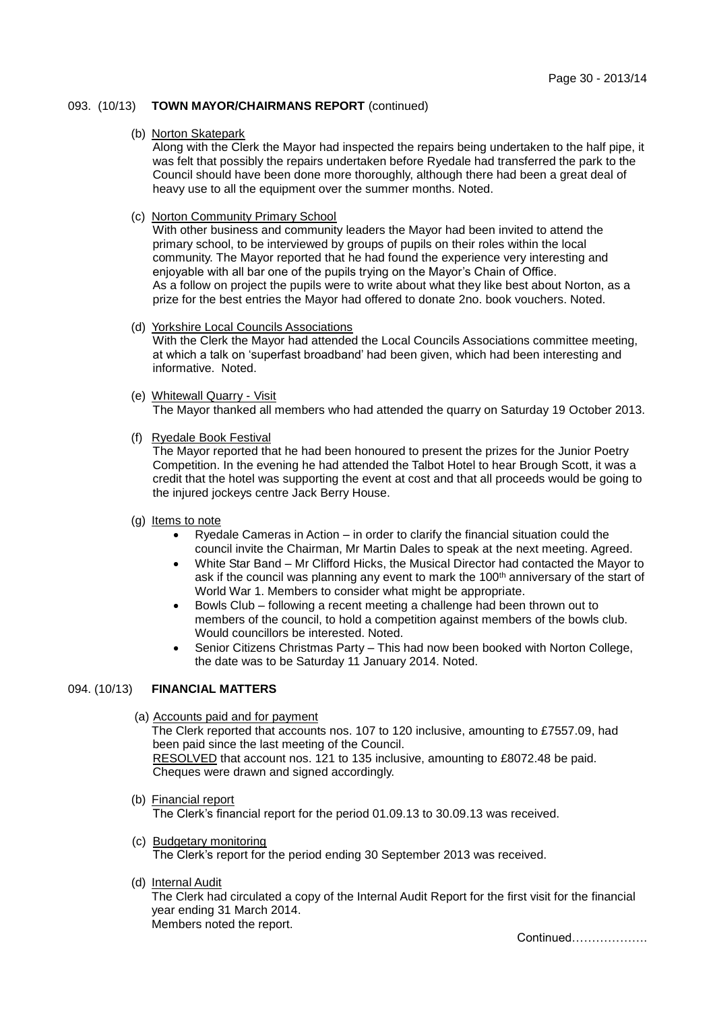## 093. (10/13) **TOWN MAYOR/CHAIRMANS REPORT** (continued)

#### (b) Norton Skatepark

Along with the Clerk the Mayor had inspected the repairs being undertaken to the half pipe, it was felt that possibly the repairs undertaken before Ryedale had transferred the park to the Council should have been done more thoroughly, although there had been a great deal of heavy use to all the equipment over the summer months. Noted.

## (c) Norton Community Primary School

With other business and community leaders the Mayor had been invited to attend the primary school, to be interviewed by groups of pupils on their roles within the local community. The Mayor reported that he had found the experience very interesting and enjoyable with all bar one of the pupils trying on the Mayor's Chain of Office. As a follow on project the pupils were to write about what they like best about Norton, as a prize for the best entries the Mayor had offered to donate 2no. book vouchers. Noted.

## (d) Yorkshire Local Councils Associations

With the Clerk the Mayor had attended the Local Councils Associations committee meeting. at which a talk on 'superfast broadband' had been given, which had been interesting and informative. Noted.

#### (e) Whitewall Quarry - Visit

The Mayor thanked all members who had attended the quarry on Saturday 19 October 2013.

### (f) Ryedale Book Festival

The Mayor reported that he had been honoured to present the prizes for the Junior Poetry Competition. In the evening he had attended the Talbot Hotel to hear Brough Scott, it was a credit that the hotel was supporting the event at cost and that all proceeds would be going to the injured jockeys centre Jack Berry House.

### (g) Items to note

- Ryedale Cameras in Action in order to clarify the financial situation could the council invite the Chairman, Mr Martin Dales to speak at the next meeting. Agreed.
- White Star Band Mr Clifford Hicks, the Musical Director had contacted the Mayor to ask if the council was planning any event to mark the 100<sup>th</sup> anniversary of the start of World War 1. Members to consider what might be appropriate.
- Bowls Club following a recent meeting a challenge had been thrown out to members of the council, to hold a competition against members of the bowls club. Would councillors be interested. Noted.
- Senior Citizens Christmas Party This had now been booked with Norton College, the date was to be Saturday 11 January 2014. Noted.

## 094. (10/13) **FINANCIAL MATTERS**

(a) Accounts paid and for payment

The Clerk reported that accounts nos. 107 to 120 inclusive, amounting to £7557.09, had been paid since the last meeting of the Council. RESOLVED that account nos. 121 to 135 inclusive, amounting to £8072.48 be paid. Cheques were drawn and signed accordingly.

- (b) Financial report The Clerk's financial report for the period 01.09.13 to 30.09.13 was received.
- (c) Budgetary monitoring The Clerk's report for the period ending 30 September 2013 was received.
- (d) Internal Audit

The Clerk had circulated a copy of the Internal Audit Report for the first visit for the financial year ending 31 March 2014. Members noted the report.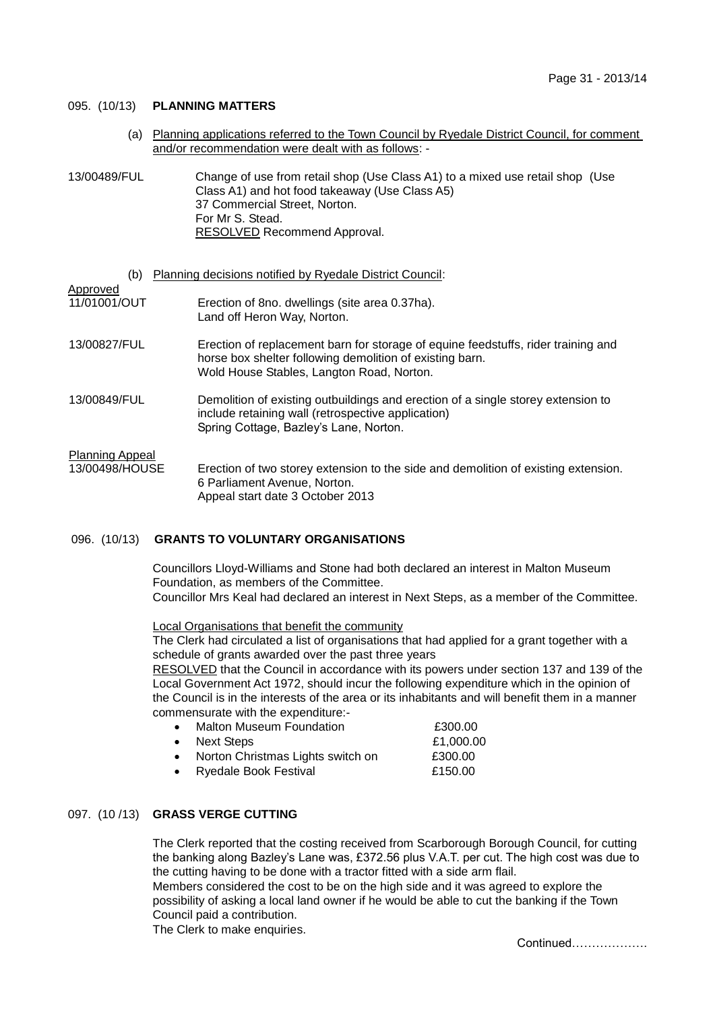## 095. (10/13) **PLANNING MATTERS**

 (a) Planning applications referred to the Town Council by Ryedale District Council, for comment and/or recommendation were dealt with as follows: -

| 13/00489/FUL | Change of use from retail shop (Use Class A1) to a mixed use retail shop (Use |
|--------------|-------------------------------------------------------------------------------|
|              | Class A1) and hot food takeaway (Use Class A5)                                |
|              | 37 Commercial Street, Norton.                                                 |
|              | For Mr S. Stead.                                                              |
|              | RESOLVED Recommend Approval.                                                  |

| (b)                                      | Planning decisions notified by Ryedale District Council:                                                                                                                                   |
|------------------------------------------|--------------------------------------------------------------------------------------------------------------------------------------------------------------------------------------------|
| Approved<br>11/01001/OUT                 | Erection of 8no. dwellings (site area 0.37ha).<br>Land off Heron Way, Norton.                                                                                                              |
| 13/00827/FUL                             | Erection of replacement barn for storage of equine feedstuffs, rider training and<br>horse box shelter following demolition of existing barn.<br>Wold House Stables, Langton Road, Norton. |
| 13/00849/FUL                             | Demolition of existing outbuildings and erection of a single storey extension to<br>include retaining wall (retrospective application)<br>Spring Cottage, Bazley's Lane, Norton.           |
| <b>Planning Appeal</b><br>13/00498/HOUSE | Erection of two storey extension to the side and demolition of existing extension.<br>6 Parliament Avenue, Norton.<br>Appeal start date 3 October 2013                                     |

### 096. (10/13) **GRANTS TO VOLUNTARY ORGANISATIONS**

Councillors Lloyd-Williams and Stone had both declared an interest in Malton Museum Foundation, as members of the Committee. Councillor Mrs Keal had declared an interest in Next Steps, as a member of the Committee.

Local Organisations that benefit the community

The Clerk had circulated a list of organisations that had applied for a grant together with a schedule of grants awarded over the past three years

RESOLVED that the Council in accordance with its powers under section 137 and 139 of the Local Government Act 1972, should incur the following expenditure which in the opinion of the Council is in the interests of the area or its inhabitants and will benefit them in a manner commensurate with the expenditure:-

- Malton Museum Foundation **E300.00** • Next Steps **E1,000.00**
- Norton Christmas Lights switch on £300.00 Ryedale Book Festival **E150.00**
- 

## 097. (10 /13) **GRASS VERGE CUTTING**

The Clerk reported that the costing received from Scarborough Borough Council, for cutting the banking along Bazley's Lane was, £372.56 plus V.A.T. per cut. The high cost was due to the cutting having to be done with a tractor fitted with a side arm flail. Members considered the cost to be on the high side and it was agreed to explore the

possibility of asking a local land owner if he would be able to cut the banking if the Town Council paid a contribution.

The Clerk to make enquiries.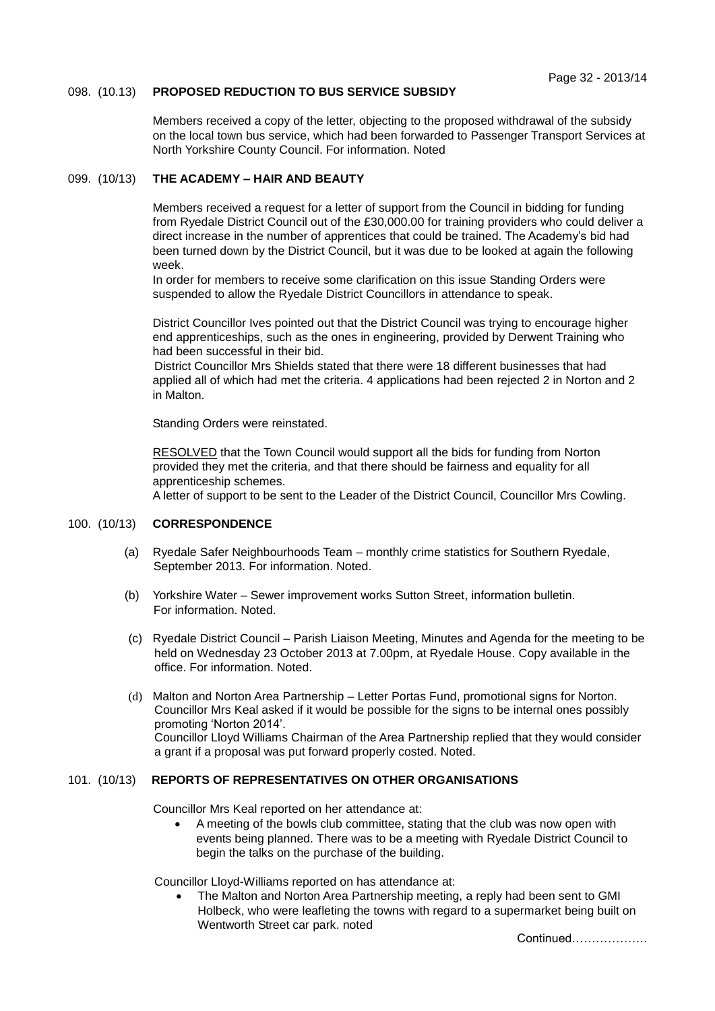## 098. (10.13) **PROPOSED REDUCTION TO BUS SERVICE SUBSIDY**

Members received a copy of the letter, objecting to the proposed withdrawal of the subsidy on the local town bus service, which had been forwarded to Passenger Transport Services at North Yorkshire County Council. For information. Noted

## 099. (10/13) **THE ACADEMY – HAIR AND BEAUTY**

Members received a request for a letter of support from the Council in bidding for funding from Ryedale District Council out of the £30,000.00 for training providers who could deliver a direct increase in the number of apprentices that could be trained. The Academy's bid had been turned down by the District Council, but it was due to be looked at again the following week.

In order for members to receive some clarification on this issue Standing Orders were suspended to allow the Ryedale District Councillors in attendance to speak.

District Councillor Ives pointed out that the District Council was trying to encourage higher end apprenticeships, such as the ones in engineering, provided by Derwent Training who had been successful in their bid.

District Councillor Mrs Shields stated that there were 18 different businesses that had applied all of which had met the criteria. 4 applications had been rejected 2 in Norton and 2 in Malton.

Standing Orders were reinstated.

RESOLVED that the Town Council would support all the bids for funding from Norton provided they met the criteria, and that there should be fairness and equality for all apprenticeship schemes.

A letter of support to be sent to the Leader of the District Council, Councillor Mrs Cowling.

## 100. (10/13) **CORRESPONDENCE**

- (a) Ryedale Safer Neighbourhoods Team monthly crime statistics for Southern Ryedale, September 2013. For information. Noted.
- (b) Yorkshire Water Sewer improvement works Sutton Street, information bulletin. For information. Noted.
- (c) Ryedale District Council Parish Liaison Meeting, Minutes and Agenda for the meeting to be held on Wednesday 23 October 2013 at 7.00pm, at Ryedale House. Copy available in the office. For information. Noted.
- (d) Malton and Norton Area Partnership Letter Portas Fund, promotional signs for Norton. Councillor Mrs Keal asked if it would be possible for the signs to be internal ones possibly promoting 'Norton 2014'. Councillor Lloyd Williams Chairman of the Area Partnership replied that they would consider a grant if a proposal was put forward properly costed. Noted.

# 101. (10/13) **REPORTS OF REPRESENTATIVES ON OTHER ORGANISATIONS**

Councillor Mrs Keal reported on her attendance at:

 A meeting of the bowls club committee, stating that the club was now open with events being planned. There was to be a meeting with Ryedale District Council to begin the talks on the purchase of the building.

Councillor Lloyd-Williams reported on has attendance at:

 The Malton and Norton Area Partnership meeting, a reply had been sent to GMI Holbeck, who were leafleting the towns with regard to a supermarket being built on Wentworth Street car park. noted